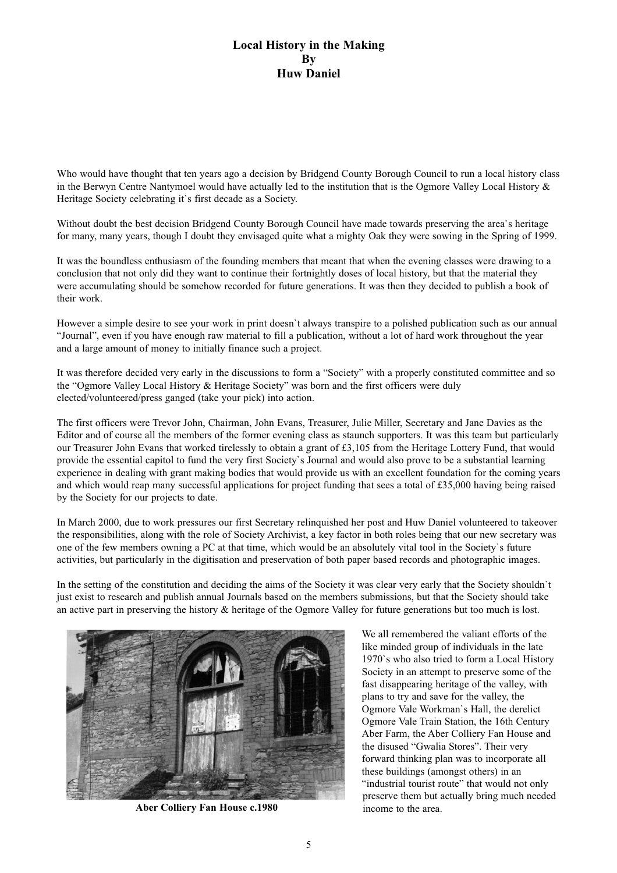## **Local History in the Making By Huw Daniel**

Who would have thought that ten years ago a decision by Bridgend County Borough Council to run a local history class in the Berwyn Centre Nantymoel would have actually led to the institution that is the Ogmore Valley Local History & Heritage Society celebrating it`s first decade as a Society.

Without doubt the best decision Bridgend County Borough Council have made towards preserving the area's heritage for many, many years, though I doubt they envisaged quite what a mighty Oak they were sowing in the Spring of 1999.

It was the boundless enthusiasm of the founding members that meant that when the evening classes were drawing to a conclusion that not only did they want to continue their fortnightly doses of local history, but that the material they were accumulating should be somehow recorded for future generations. It was then they decided to publish a book of their work.

However a simple desire to see your work in print doesn`t always transpire to a polished publication such as our annual "Journal", even if you have enough raw material to fill a publication, without a lot of hard work throughout the year and a large amount of money to initially finance such a project.

It was therefore decided very early in the discussions to form a "Society" with a properly constituted committee and so the "Ogmore Valley Local History & Heritage Society" was born and the first officers were duly elected/volunteered/press ganged (take your pick) into action.

The first officers were Trevor John, Chairman, John Evans, Treasurer, Julie Miller, Secretary and Jane Davies as the Editor and of course all the members of the former evening class as staunch supporters. It was this team but particularly our Treasurer John Evans that worked tirelessly to obtain a grant of £3,105 from the Heritage Lottery Fund, that would provide the essential capitol to fund the very first Society`s Journal and would also prove to be a substantial learning experience in dealing with grant making bodies that would provide us with an excellent foundation for the coming years and which would reap many successful applications for project funding that sees a total of £35,000 having being raised by the Society for our projects to date.

In March 2000, due to work pressures our first Secretary relinquished her post and Huw Daniel volunteered to takeover the responsibilities, along with the role of Society Archivist, a key factor in both roles being that our new secretary was one of the few members owning a PC at that time, which would be an absolutely vital tool in the Society`s future activities, but particularly in the digitisation and preservation of both paper based records and photographic images.

In the setting of the constitution and deciding the aims of the Society it was clear very early that the Society shouldn`t just exist to research and publish annual Journals based on the members submissions, but that the Society should take an active part in preserving the history & heritage of the Ogmore Valley for future generations but too much is lost.



**Aber Colliery Fan House c.1980** income to the area.

We all remembered the valiant efforts of the like minded group of individuals in the late 1970`s who also tried to form a Local History Society in an attempt to preserve some of the fast disappearing heritage of the valley, with plans to try and save for the valley, the Ogmore Vale Workman`s Hall, the derelict Ogmore Vale Train Station, the 16th Century Aber Farm, the Aber Colliery Fan House and the disused "Gwalia Stores". Their very forward thinking plan was to incorporate all these buildings (amongst others) in an "industrial tourist route" that would not only preserve them but actually bring much needed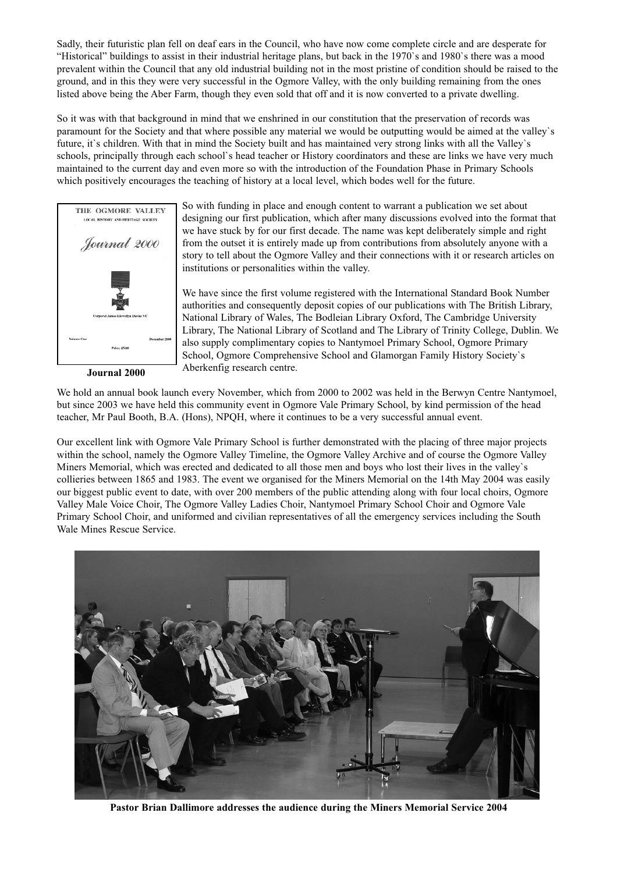Sadly, their futuristic plan fell on deaf ears in the Council, who have now come complete circle and are desperate for "Historical" buildings to assist in their industrial heritage plans, but back in the 1970`s and 1980`s there was a mood prevalent within the Council that any old industrial building not in the most pristine of condition should be raised to the ground, and in this they were very successful in the Ogmore Valley, with the only building remaining from the ones listed above being the Aber Farm, though they even sold that off and it is now converted to a private dwelling.

So it was with that background in mind that we enshrined in our constitution that the preservation of records was paramount for the Society and that where possible any material we would be outputting would be aimed at the valley`s future, it's children. With that in mind the Society built and has maintained very strong links with all the Valley's schools, principally through each school`s head teacher or History coordinators and these are links we have very much maintained to the current day and even more so with the introduction of the Foundation Phase in Primary Schools which positively encourages the teaching of history at a local level, which bodes well for the future.



**Journal 2000**

So with funding in place and enough content to warrant a publication we set about designing our first publication, which after many discussions evolved into the format that we have stuck by for our first decade. The name was kept deliberately simple and right from the outset it is entirely made up from contributions from absolutely anyone with a story to tell about the Ogmore Valley and their connections with it or research articles on institutions or personalities within the valley.

We have since the first volume registered with the International Standard Book Number authorities and consequently deposit copies of our publications with The British Library, National Library of Wales, The Bodleian Library Oxford, The Cambridge University Library, The National Library of Scotland and The Library of Trinity College, Dublin. We also supply complimentary copies to Nantymoel Primary School, Ogmore Primary School, Ogmore Comprehensive School and Glamorgan Family History Society`s Aberkenfig research centre.

We hold an annual book launch every November, which from 2000 to 2002 was held in the Berwyn Centre Nantymoel, but since 2003 we have held this community event in Ogmore Vale Primary School, by kind permission of the head teacher, Mr Paul Booth, B.A. (Hons), NPQH, where it continues to be a very successful annual event.

Our excellent link with Ogmore Vale Primary School is further demonstrated with the placing of three major projects within the school, namely the Ogmore Valley Timeline, the Ogmore Valley Archive and of course the Ogmore Valley Miners Memorial, which was erected and dedicated to all those men and boys who lost their lives in the valley`s collieries between 1865 and 1983. The event we organised for the Miners Memorial on the 14th May 2004 was easily our biggest public event to date, with over 200 members of the public attending along with four local choirs, Ogmore Valley Male Voice Choir, The Ogmore Valley Ladies Choir, Nantymoel Primary School Choir and Ogmore Vale Primary School Choir, and uniformed and civilian representatives of all the emergency services including the South Wale Mines Rescue Service.



**Pastor Brian Dallimore addresses the audience during the Miners Memorial Service 2004**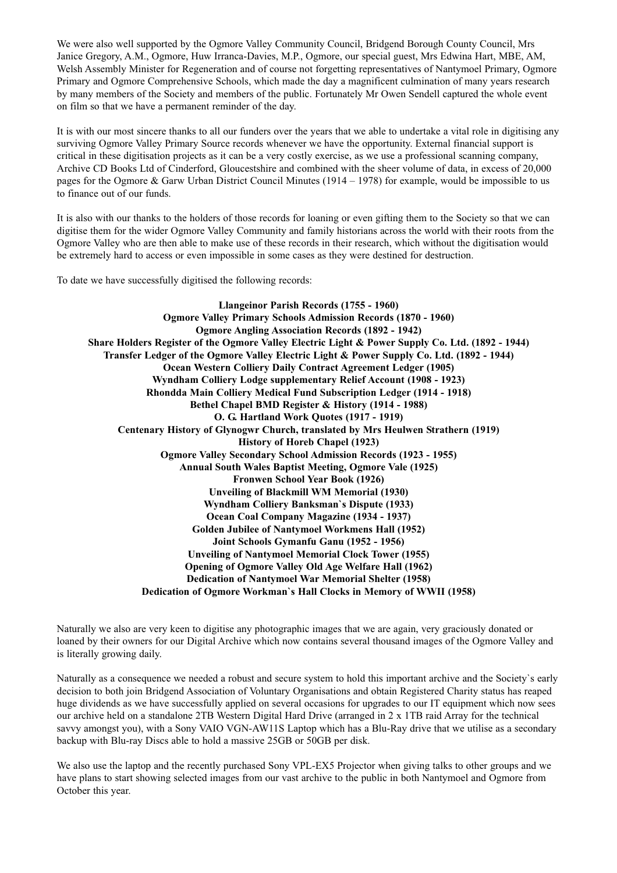We were also well supported by the Ogmore Valley Community Council, Bridgend Borough County Council, Mrs Janice Gregory, A.M., Ogmore, Huw Irranca-Davies, M.P., Ogmore, our special guest, Mrs Edwina Hart, MBE, AM, Welsh Assembly Minister for Regeneration and of course not forgetting representatives of Nantymoel Primary, Ogmore Primary and Ogmore Comprehensive Schools, which made the day a magnificent culmination of many years research by many members of the Society and members of the public. Fortunately Mr Owen Sendell captured the whole event on film so that we have a permanent reminder of the day.

It is with our most sincere thanks to all our funders over the years that we able to undertake a vital role in digitising any surviving Ogmore Valley Primary Source records whenever we have the opportunity. External financial support is critical in these digitisation projects as it can be a very costly exercise, as we use a professional scanning company, Archive CD Books Ltd of Cinderford, Gloucestshire and combined with the sheer volume of data, in excess of 20,000 pages for the Ogmore & Garw Urban District Council Minutes (1914 – 1978) for example, would be impossible to us to finance out of our funds.

It is also with our thanks to the holders of those records for loaning or even gifting them to the Society so that we can digitise them for the wider Ogmore Valley Community and family historians across the world with their roots from the Ogmore Valley who are then able to make use of these records in their research, which without the digitisation would be extremely hard to access or even impossible in some cases as they were destined for destruction.

To date we have successfully digitised the following records:

**Llangeinor Parish Records (1755 - 1960) Ogmore Valley Primary Schools Admission Records (1870 - 1960) Ogmore Angling Association Records (1892 - 1942) Share Holders Register of the Ogmore Valley Electric Light & Power Supply Co. Ltd. (1892 - 1944) Transfer Ledger of the Ogmore Valley Electric Light & Power Supply Co. Ltd. (1892 - 1944) Ocean Western Colliery Daily Contract Agreement Ledger (1905) Wyndham Colliery Lodge supplementary Relief Account (1908 - 1923) Rhondda Main Colliery Medical Fund Subscription Ledger (1914 - 1918) Bethel Chapel BMD Register & History (1914 - 1988) O. G. Hartland Work Quotes (1917 - 1919) Centenary History of Glynogwr Church, translated by Mrs Heulwen Strathern (1919) History of Horeb Chapel (1923) Ogmore Valley Secondary School Admission Records (1923 - 1955) Annual South Wales Baptist Meeting, Ogmore Vale (1925) Fronwen School Year Book (1926) Unveiling of Blackmill WM Memorial (1930) Wyndham Colliery Banksman`s Dispute (1933) Ocean Coal Company Magazine (1934 - 1937) Golden Jubilee of -antymoel Workmens Hall (1952) Joint Schools Gymanfu Ganu (1952 - 1956) Unveiling of Nantymoel Memorial Clock Tower (1955) Opening of Ogmore Valley Old Age Welfare Hall (1962) Dedication of Nantymoel War Memorial Shelter (1958) Dedication of Ogmore Workman`s Hall Clocks in Memory of WWII (1958)**

Naturally we also are very keen to digitise any photographic images that we are again, very graciously donated or loaned by their owners for our Digital Archive which now contains several thousand images of the Ogmore Valley and is literally growing daily.

Naturally as a consequence we needed a robust and secure system to hold this important archive and the Society`s early decision to both join Bridgend Association of Voluntary Organisations and obtain Registered Charity status has reaped huge dividends as we have successfully applied on several occasions for upgrades to our IT equipment which now sees our archive held on a standalone 2TB Western Digital Hard Drive (arranged in 2 x 1TB raid Array for the technical savvy amongst you), with a Sony VAIO VGN-AW11S Laptop which has a Blu-Ray drive that we utilise as a secondary backup with Blu-ray Discs able to hold a massive 25GB or 50GB per disk.

We also use the laptop and the recently purchased Sony VPL-EX5 Projector when giving talks to other groups and we have plans to start showing selected images from our vast archive to the public in both Nantymoel and Ogmore from October this year.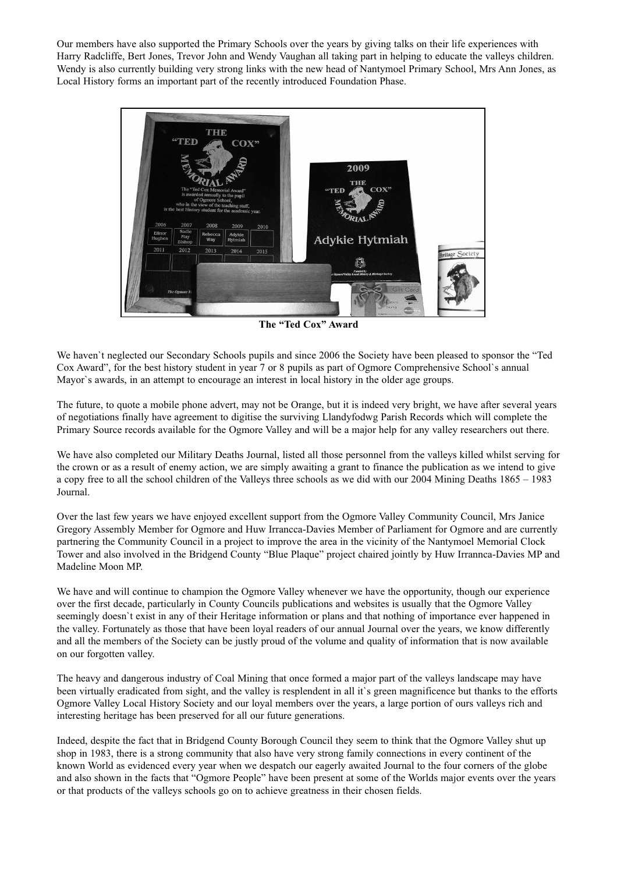Our members have also supported the Primary Schools over the years by giving talks on their life experiences with Harry Radcliffe, Bert Jones, Trevor John and Wendy Vaughan all taking part in helping to educate the valleys children. Wendy is also currently building very strong links with the new head of Nantymoel Primary School, Mrs Ann Jones, as Local History forms an important part of the recently introduced Foundation Phase.



**The "Ted Cox" Award**

We haven`t neglected our Secondary Schools pupils and since 2006 the Society have been pleased to sponsor the "Ted Cox Award", for the best history student in year 7 or 8 pupils as part of Ogmore Comprehensive School`s annual Mayor`s awards, in an attempt to encourage an interest in local history in the older age groups.

The future, to quote a mobile phone advert, may not be Orange, but it is indeed very bright, we have after several years of negotiations finally have agreement to digitise the surviving Llandyfodwg Parish Records which will complete the Primary Source records available for the Ogmore Valley and will be a major help for any valley researchers out there.

We have also completed our Military Deaths Journal, listed all those personnel from the valleys killed whilst serving for the crown or as a result of enemy action, we are simply awaiting a grant to finance the publication as we intend to give a copy free to all the school children of the Valleys three schools as we did with our 2004 Mining Deaths 1865 – 1983 Journal.

Over the last few years we have enjoyed excellent support from the Ogmore Valley Community Council, Mrs Janice Gregory Assembly Member for Ogmore and Huw Irrancca-Davies Member of Parliament for Ogmore and are currently partnering the Community Council in a project to improve the area in the vicinity of the Nantymoel Memorial Clock Tower and also involved in the Bridgend County "Blue Plaque" project chaired jointly by Huw Irrannca-Davies MP and Madeline Moon MP.

We have and will continue to champion the Ogmore Valley whenever we have the opportunity, though our experience over the first decade, particularly in County Councils publications and websites is usually that the Ogmore Valley seemingly doesn`t exist in any of their Heritage information or plans and that nothing of importance ever happened in the valley. Fortunately as those that have been loyal readers of our annual Journal over the years, we know differently and all the members of the Society can be justly proud of the volume and quality of information that is now available on our forgotten valley.

The heavy and dangerous industry of Coal Mining that once formed a major part of the valleys landscape may have been virtually eradicated from sight, and the valley is resplendent in all it`s green magnificence but thanks to the efforts Ogmore Valley Local History Society and our loyal members over the years, a large portion of ours valleys rich and interesting heritage has been preserved for all our future generations.

Indeed, despite the fact that in Bridgend County Borough Council they seem to think that the Ogmore Valley shut up shop in 1983, there is a strong community that also have very strong family connections in every continent of the known World as evidenced every year when we despatch our eagerly awaited Journal to the four corners of the globe and also shown in the facts that "Ogmore People" have been present at some of the Worlds major events over the years or that products of the valleys schools go on to achieve greatness in their chosen fields.